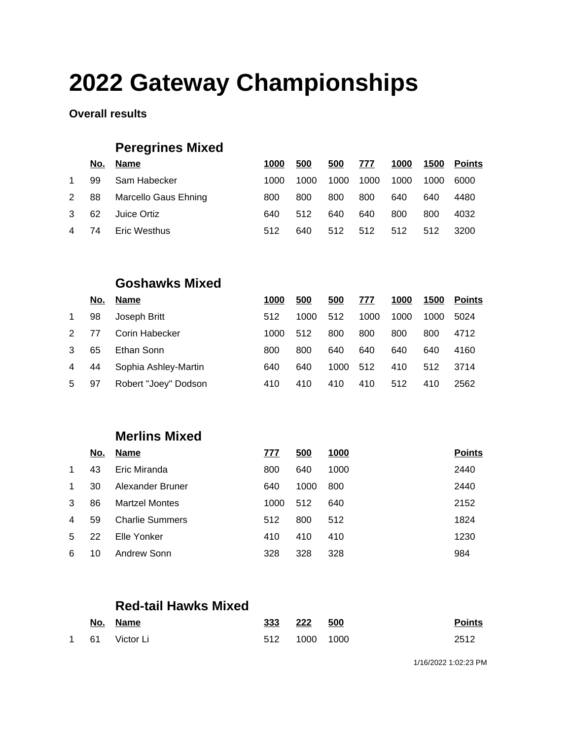# **2022 Gateway Championships**

#### **Overall results**

## **Peregrines Mixed**

|                | No. | Name                 | 1000 | 500  | 500  | 777  | 1000 |      | 1500 Points |
|----------------|-----|----------------------|------|------|------|------|------|------|-------------|
| $\mathbf 1$    | 99  | Sam Habecker         | 1000 | 1000 | 1000 | 1000 | 1000 | 1000 | 6000        |
| 2 88           |     | Marcello Gaus Ehning | 800  | 800  | 800  | 800  | 640  | 640  | 4480        |
| 3              | -62 | Juice Ortiz          | 640  | 512  | 640  | 640  | 800  | 800  | 4032        |
| $\overline{4}$ | 74  | Eric Westhus         | 512  | 640  | 512  | 512  | 512  | 512  | 3200        |

### **Goshawks Mixed**

|               | No. | Name                 | 1000 | 500  | 500  | 777  | 1000 | 1500 | <b>Points</b> |
|---------------|-----|----------------------|------|------|------|------|------|------|---------------|
| $\mathbf 1$   | 98  | Joseph Britt         | 512  | 1000 | 512  | 1000 | 1000 | 1000 | 5024          |
| $\mathcal{P}$ | 77  | Corin Habecker       | 1000 | 512  | 800  | 800  | 800  | 800  | 4712          |
| 3             | 65  | Ethan Sonn           | 800  | 800  | 640  | 640  | 640  | 640  | 4160          |
| 4             | 44  | Sophia Ashley-Martin | 640  | 640  | 1000 | 512  | 410  | 512  | 3714          |
| 5             | 97  | Robert "Joey" Dodson | 410  | 410  | 410  | 410  | 512  | 410  | 2562          |

## **Merlins Mixed**

|              | <u>No.</u> | <b>Name</b>            | 777  | 500  | <u>1000</u> | <b>Points</b> |
|--------------|------------|------------------------|------|------|-------------|---------------|
| $\mathbf{1}$ | 43         | Eric Miranda           | 800  | 640  | 1000        | 2440          |
| $\mathbf{1}$ | 30         | Alexander Bruner       | 640  | 1000 | 800         | 2440          |
| 3            | 86         | <b>Martzel Montes</b>  | 1000 | 512  | 640         | 2152          |
| 4            | 59         | <b>Charlie Summers</b> | 512  | 800  | 512         | 1824          |
| -5           | 22         | Elle Yonker            | 410  | 410  | 410         | 1230          |
| 6            | 10         | Andrew Sonn            | 328  | 328  | 328         | 984           |
|              |            |                        |      |      |             |               |

### **Red-tail Hawks Mixed**

|  | No. Name       | 333 222 500   |  | <b>Points</b> |
|--|----------------|---------------|--|---------------|
|  | 1 61 Victor Li | 512 1000 1000 |  | 2512          |

1/16/2022 1:02:23 PM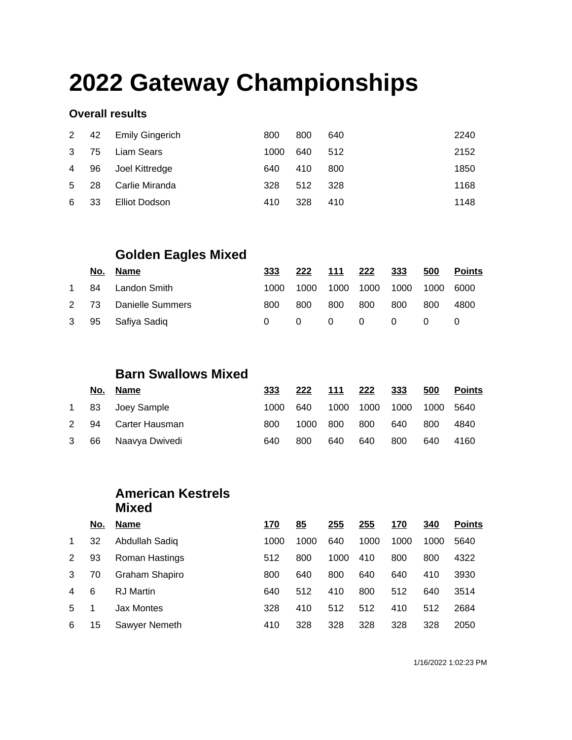# **2022 Gateway Championships**

#### **Overall results**

|                |     | 2 42 Emily Gingerich | 800  | 800 | 640  | 2240 |
|----------------|-----|----------------------|------|-----|------|------|
| 3 75           |     | Liam Sears           | 1000 | 640 | 512  | 2152 |
| 4 96           |     | Joel Kittredge       | 640  | 410 | 800  | 1850 |
| 5 <sup>5</sup> | -28 | Carlie Miranda       | 328  | 512 | -328 | 1168 |
| 6              | 33  | Elliot Dodson        | 410  | 328 | 410  | 1148 |

## **Golden Eagles Mixed**

|           | <u>No. Name</u>       | 333   | 222      | 111                     | 222                      | 333            | 500      | <b>Points</b> |
|-----------|-----------------------|-------|----------|-------------------------|--------------------------|----------------|----------|---------------|
| $1 \quad$ | 84 Landon Smith       | 1000. | 1000     |                         | 1000 1000 1000 1000 6000 |                |          |               |
|           | 2 73 Danielle Summers | 800   | 800      | 800                     | 800                      | 800            | 800      | 4800          |
|           | 3 95 Safiya Sadiq     |       | $\Omega$ | $\overline{\mathbf{0}}$ | $\overline{0}$           | $\overline{0}$ | $\Omega$ |               |

### **Barn Swallows Mixed**

|      |    | No. Name         | 333  | 222  | 111  | 222  | 333  | 500  | <b>Points</b> |
|------|----|------------------|------|------|------|------|------|------|---------------|
|      |    | 1 83 Joey Sample | 1000 | 640  | 1000 | 1000 | 1000 | 1000 | 5640          |
| 2 94 |    | Carter Hausman   | 800  | 1000 | 800  | 800  | 640  | 800  | 4840          |
| 3    | 66 | Naavya Dwivedi   | 640  | 800  | 640  | 640  | 800  | 640  | 4160          |

#### **American Kestrels Mixed**

|              | No. | <b>Name</b>    | 170  | 85   | 255  | <u> 255</u> | <u> 170</u> | <u>340</u> | <b>Points</b> |
|--------------|-----|----------------|------|------|------|-------------|-------------|------------|---------------|
| $\mathbf{1}$ | 32  | Abdullah Sadiq | 1000 | 1000 | 640  | 1000        | 1000        | 1000       | 5640          |
| 2            | 93  | Roman Hastings | 512  | 800  | 1000 | 410         | 800         | 800        | 4322          |
| 3            | 70  | Graham Shapiro | 800  | 640  | 800  | 640         | 640         | 410        | 3930          |
| 4            | 6   | RJ Martin      | 640  | 512  | 410  | 800         | 512         | 640        | 3514          |
| 5            |     | Jax Montes     | 328  | 410  | 512  | 512         | 410         | 512        | 2684          |
| 6            | 15  | Sawyer Nemeth  | 410  | 328  | 328  | 328         | 328         | 328        | 2050          |